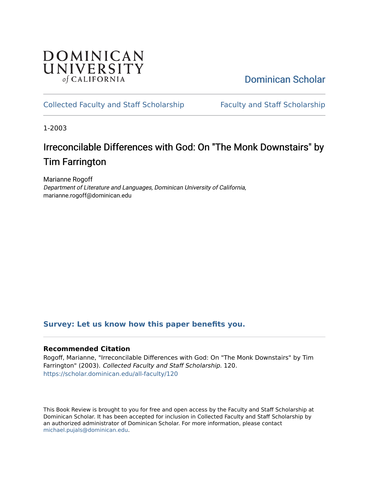## **DOMINICAN** UNIVERSITY of CALIFORNIA

# [Dominican Scholar](https://scholar.dominican.edu/)

## [Collected Faculty and Staff Scholarship](https://scholar.dominican.edu/all-faculty) [Faculty and Staff Scholarship](https://scholar.dominican.edu/faculty-scholarship)

1-2003

# Irreconcilable Differences with God: On "The Monk Downstairs" by Tim Farrington

Marianne Rogoff Department of Literature and Languages, Dominican University of California, marianne.rogoff@dominican.edu

### **[Survey: Let us know how this paper benefits you.](https://dominican.libwizard.com/dominican-scholar-feedback)**

#### **Recommended Citation**

Rogoff, Marianne, "Irreconcilable Differences with God: On "The Monk Downstairs" by Tim Farrington" (2003). Collected Faculty and Staff Scholarship. 120. [https://scholar.dominican.edu/all-faculty/120](https://scholar.dominican.edu/all-faculty/120?utm_source=scholar.dominican.edu%2Fall-faculty%2F120&utm_medium=PDF&utm_campaign=PDFCoverPages) 

This Book Review is brought to you for free and open access by the Faculty and Staff Scholarship at Dominican Scholar. It has been accepted for inclusion in Collected Faculty and Staff Scholarship by an authorized administrator of Dominican Scholar. For more information, please contact [michael.pujals@dominican.edu.](mailto:michael.pujals@dominican.edu)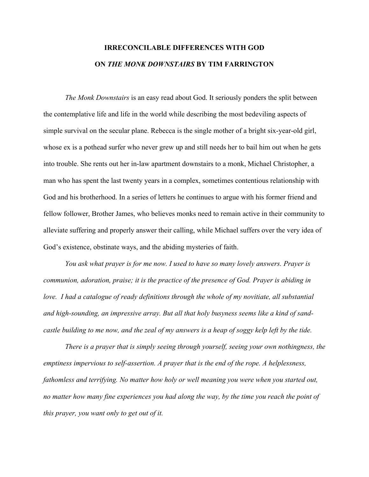# **IRRECONCILABLE DIFFERENCES WITH GOD ON** *THE MONK DOWNSTAIRS* **BY TIM FARRINGTON**

*The Monk Downstairs* is an easy read about God. It seriously ponders the split between the contemplative life and life in the world while describing the most bedeviling aspects of simple survival on the secular plane. Rebecca is the single mother of a bright six-year-old girl, whose ex is a pothead surfer who never grew up and still needs her to bail him out when he gets into trouble. She rents out her in-law apartment downstairs to a monk, Michael Christopher, a man who has spent the last twenty years in a complex, sometimes contentious relationship with God and his brotherhood. In a series of letters he continues to argue with his former friend and fellow follower, Brother James, who believes monks need to remain active in their community to alleviate suffering and properly answer their calling, while Michael suffers over the very idea of God's existence, obstinate ways, and the abiding mysteries of faith.

*You ask what prayer is for me now. I used to have so many lovely answers. Prayer is communion, adoration, praise; it is the practice of the presence of God. Prayer is abiding in love. I had a catalogue of ready definitions through the whole of my novitiate, all substantial and high-sounding, an impressive array. But all that holy busyness seems like a kind of sandcastle building to me now, and the zeal of my answers is a heap of soggy kelp left by the tide.*

*There is a prayer that is simply seeing through yourself, seeing your own nothingness, the emptiness impervious to self-assertion. A prayer that is the end of the rope. A helplessness, fathomless and terrifying. No matter how holy or well meaning you were when you started out, no matter how many fine experiences you had along the way, by the time you reach the point of this prayer, you want only to get out of it.*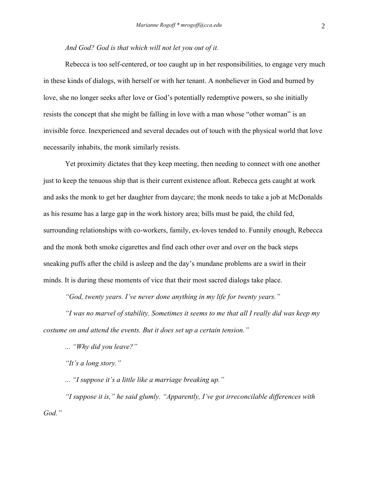#### *And God? God is that which will not let you out of it.*

Rebecca is too self-centered, or too caught up in her responsibilities, to engage very much in these kinds of dialogs, with herself or with her tenant. A nonbeliever in God and burned by love, she no longer seeks after love or God's potentially redemptive powers, so she initially resists the concept that she might be falling in love with a man whose "other woman" is an invisible force. Inexperienced and several decades out of touch with the physical world that love necessarily inhabits, the monk similarly resists.

Yet proximity dictates that they keep meeting, then needing to connect with one another just to keep the tenuous ship that is their current existence afloat. Rebecca gets caught at work and asks the monk to get her daughter from daycare; the monk needs to take a job at McDonalds as his resume has a large gap in the work history area; bills must be paid, the child fed, surrounding relationships with co-workers, family, ex-loves tended to. Funnily enough, Rebecca and the monk both smoke cigarettes and find each other over and over on the back steps sneaking puffs after the child is asleep and the day's mundane problems are a swirl in their minds. It is during these moments of vice that their most sacred dialogs take place.

*"God, twenty years. I've never done anything in my life for twenty years."*

*"I was no marvel of stability. Sometimes it seems to me that all I really did was keep my costume on and attend the events. But it does set up a certain tension."*

*... "Why did you leave?"*

*"It's a long story."*

*... "I suppose it's a little like a marriage breaking up."*

*"I suppose it is," he said glumly. "Apparently, I've got irreconcilable differences with God."*